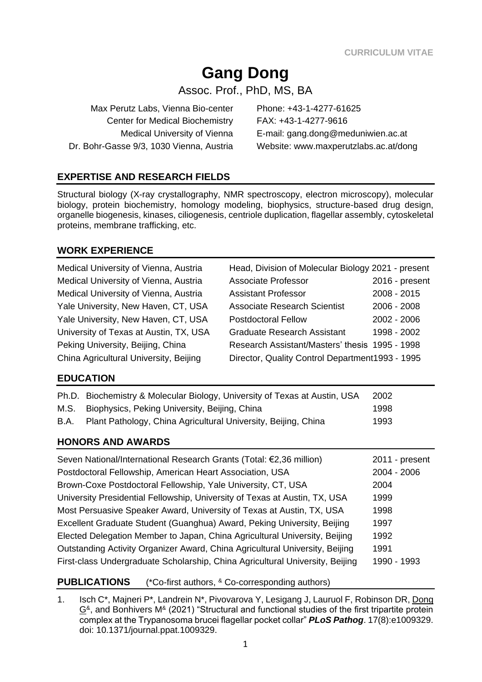**CURRICULUM VITAE**

# **Gang Dong**

Assoc. Prof., PhD, MS, BA

Max Perutz Labs, Vienna Bio-center Center for Medical Biochemistry Medical University of Vienna Dr. Bohr-Gasse 9/3, 1030 Vienna, Austria Phone: +43-1-4277-61625 FAX: +43-1-4277-9616 E-mail: gang.dong@meduniwien.ac.at Website: [www.maxperutzlabs.ac.at/dong](http://www.maxperutzlabs.ac.at/dong)

## **EXPERTISE AND RESEARCH FIELDS**

Structural biology (X-ray crystallography, NMR spectroscopy, electron microscopy), molecular biology, protein biochemistry, homology modeling, biophysics, structure-based drug design, organelle biogenesis, kinases, ciliogenesis, centriole duplication, flagellar assembly, cytoskeletal proteins, membrane trafficking, etc.

## **WORK EXPERIENCE**

| Medical University of Vienna, Austria  | Head, Division of Molecular Biology 2021 - present |                |
|----------------------------------------|----------------------------------------------------|----------------|
| Medical University of Vienna, Austria  | <b>Associate Professor</b>                         | 2016 - present |
| Medical University of Vienna, Austria  | <b>Assistant Professor</b>                         | $2008 - 2015$  |
| Yale University, New Haven, CT, USA    | <b>Associate Research Scientist</b>                | 2006 - 2008    |
| Yale University, New Haven, CT, USA    | <b>Postdoctoral Fellow</b>                         | 2002 - 2006    |
| University of Texas at Austin, TX, USA | <b>Graduate Research Assistant</b>                 | 1998 - 2002    |
| Peking University, Beijing, China      | Research Assistant/Masters' thesis 1995 - 1998     |                |
| China Agricultural University, Beijing | Director, Quality Control Department1993 - 1995    |                |

#### **EDUCATION**

| Ph.D. Biochemistry & Molecular Biology, University of Texas at Austin, USA | 2002 |
|----------------------------------------------------------------------------|------|
| M.S. Biophysics, Peking University, Beijing, China                         | 1998 |
| B.A. Plant Pathology, China Agricultural University, Beijing, China        | 1993 |

## **HONORS AND AWARDS**

| Seven National/International Research Grants (Total: €2,36 million)           | 2011 - present |
|-------------------------------------------------------------------------------|----------------|
| Postdoctoral Fellowship, American Heart Association, USA                      | $2004 - 2006$  |
| Brown-Coxe Postdoctoral Fellowship, Yale University, CT, USA                  | 2004           |
| University Presidential Fellowship, University of Texas at Austin, TX, USA    | 1999           |
| Most Persuasive Speaker Award, University of Texas at Austin, TX, USA         | 1998           |
| Excellent Graduate Student (Guanghua) Award, Peking University, Beijing       | 1997           |
| Elected Delegation Member to Japan, China Agricultural University, Beijing    | 1992           |
| Outstanding Activity Organizer Award, China Agricultural University, Beijing  | 1991           |
| First-class Undergraduate Scholarship, China Agricultural University, Beijing | 1990 - 1993    |

## **PUBLICATIONS** (\*Co-first authors, <sup>&</sup> Co-corresponding authors)

1. Isch C\*, Majneri P\*, Landrein N\*, Pivovarova Y, Lesigang J, Lauruol F, Robinson DR, Dong G<sup>&</sup>, and Bonhivers M<sup>&</sup> (2021) "Structural and functional studies of the first tripartite protein complex at the Trypanosoma brucei flagellar pocket collar" *PLoS Pathog*. 17(8):e1009329. doi: 10.1371/journal.ppat.1009329.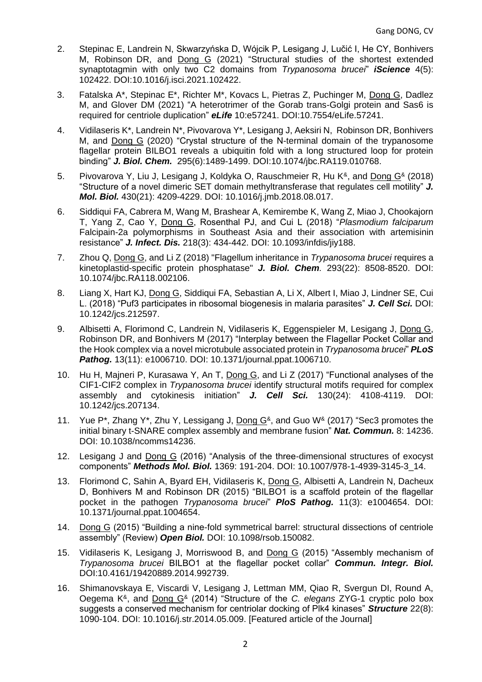- 2. Stepinac E, Landrein N, Skwarzyńska D, Wójcik P, Lesigang J, Lučić I, He CY, Bonhivers M, Robinson DR, and Dong G (2021) "Structural studies of the shortest extended synaptotagmin with only two C2 domains from *Trypanosoma brucei*" *iScience* 4(5): 102422. DOI:10.1016/j.isci.2021.102422.
- 3. Fatalska A\*, Stepinac E\*, Richter M\*, Kovacs L, Pietras Z, Puchinger M, Dong G, Dadlez M, and Glover DM (2021) "A heterotrimer of the Gorab trans-Golgi protein and Sas6 is required for centriole duplication" *eLife* 10:e57241. DOI:10.7554/eLife.57241.
- 4. Vidilaseris K\*, Landrein N\*, Pivovarova Y\*, Lesigang J, Aeksiri N, Robinson DR, Bonhivers M, and Dong G (2020) "Crystal structure of the N-terminal domain of the trypanosome flagellar protein BILBO1 reveals a ubiquitin fold with a long structured loop for protein binding" *J. Biol. Chem.* 295(6):1489-1499. DOI:10.1074/jbc.RA119.010768.
- 5. Pivovarova Y, Liu J, Lesigang J, Koldyka O, Rauschmeier R, Hu K<sup>&</sup>, and Dong G<sup>&</sup> (2018) "Structure of a novel dimeric SET domain methyltransferase that regulates cell motility" *[J.](https://www.ncbi.nlm.nih.gov/pubmed/30148980)  [Mol. Biol.](https://www.ncbi.nlm.nih.gov/pubmed/30148980)* 430(21): 4209-4229. DOI: 10.1016/j.jmb.2018.08.017.
- 6. Siddiqui FA, Cabrera M, Wang M, Brashear A, Kemirembe K, Wang Z, Miao J, Chookajorn T, Yang Z, Cao Y, Dong G, Rosenthal PJ, and Cui L (2018) "*Plasmodium falciparum* Falcipain-2a polymorphisms in Southeast Asia and their association with artemisinin resistance" *J. Infect. Dis.* 218(3): 434-442. DOI: 10.1093/infdis/jiy188.
- 7. Zhou Q, Dong G, and Li Z (2018) "Flagellum inheritance in *Trypanosoma brucei* requires a kinetoplastid-specific protein phosphatase" *J. Biol. Chem.* 293(22): 8508-8520. DOI: 10.1074/jbc.RA118.002106.
- 8. Liang X, Hart KJ, Dong G, Siddiqui FA, Sebastian A, Li X, Albert I, Miao J, Lindner SE, Cui L. (2018) "Puf3 participates in ribosomal biogenesis in malaria parasites" *J. Cell Sci.* DOI: 10.1242/jcs.212597.
- 9. Albisetti A, Florimond C, Landrein N, Vidilaseris K, Eggenspieler M, Lesigang J, Dong G, Robinson DR, and Bonhivers M (2017) "Interplay between the Flagellar Pocket Collar and the Hook complex via a novel microtubule associated protein in *Trypanosoma brucei*" *PLoS Pathog.* 13(11): e1006710. DOI: 10.1371/journal.ppat.1006710.
- 10. Hu H, Majneri P, Kurasawa Y, An T, Dong G, and Li Z (2017) "Functional analyses of the CIF1-CIF2 complex in *Trypanosoma brucei* identify structural motifs required for complex assembly and cytokinesis initiation" *J. Cell Sci.* 130(24): 4108-4119. DOI: 10.1242/jcs.207134.
- 11. Yue P<sup>\*</sup>, Zhang Y<sup>\*</sup>, Zhu Y, Lessigang J, Dong  $G^{\&}$ , and Guo W<sup>&</sup> (2017) "Sec3 promotes the initial binary t-SNARE complex assembly and membrane fusion" *Nat. Commun.* 8: 14236. DOI: 10.1038/ncomms14236.
- 12. Lesigang J and Dong G (2016) "Analysis of the three-dimensional structures of exocyst components" *Methods Mol. Biol.* 1369: 191-204. DOI: 10.1007/978-1-4939-3145-3\_14.
- 13. Florimond C, Sahin A, Byard EH, Vidilaseris K, Dong G, Albisetti A, Landrein N, Dacheux D, Bonhivers M and Robinson DR (2015) "BILBO1 is a scaffold protein of the flagellar pocket in the pathogen *Trypanosoma brucei*" *PloS Pathog.* 11(3): e1004654. DOI: 10.1371/journal.ppat.1004654.
- 14. Dong G (2015) "Building a nine-fold symmetrical barrel: structural dissections of centriole assembly" (Review) *Open Biol.* DOI: 10.1098/rsob.150082.
- 15. Vidilaseris K, Lesigang J, Morriswood B, and Dong G (2015) "Assembly mechanism of *Trypanosoma brucei* BILBO1 at the flagellar pocket collar" *Commun. Integr. Biol.* DOI:10.4161/19420889.2014.992739.
- 16. Shimanovskaya E, Viscardi V, Lesigang J, Lettman MM, Qiao R, Svergun DI, Round A, Oegema K&, and Dong G& (2014) "Structure of the *C. elegans* ZYG-1 cryptic polo box suggests a conserved mechanism for centriolar docking of Plk4 kinases" *Structure* 22(8): 1090-104. DOI: 10.1016/j.str.2014.05.009. [Featured article of the Journal]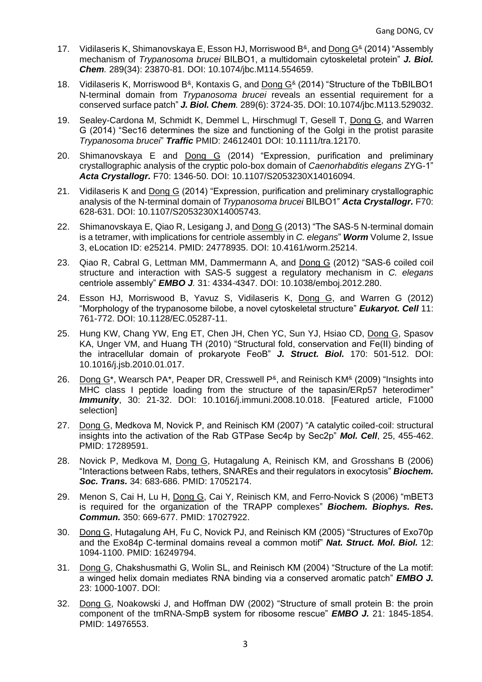- 17. Vidilaseris K, Shimanovskaya E, Esson HJ, Morriswood B<sup>&</sup>, and Dong G<sup>&</sup> (2014) "Assembly mechanism of *Trypanosoma brucei* BILBO1, a multidomain cytoskeletal protein" *J. Biol. Chem.* 289(34): 23870-81. DOI: 10.1074/jbc.M114.554659.
- 18. Vidilaseris K, Morriswood  $B^8$ , Kontaxis G, and Dong  $G^8$  (2014) "Structure of the TbBILBO1 N-terminal domain from *Trypanosoma brucei* reveals an essential requirement for a conserved surface patch" *J. Biol. Chem.* 289(6): 3724-35. DOI: 10.1074/jbc.M113.529032.
- 19. Sealey-Cardona M, Schmidt K, Demmel L, Hirschmugl T, Gesell T, Dong G, and Warren G (2014) "Sec16 determines the size and functioning of the Golgi in the protist parasite *Trypanosoma brucei*" *Traffic* PMID: 24612401 DOI: 10.1111/tra.12170.
- 20. Shimanovskaya E and Dong G (2014) "Expression, purification and preliminary crystallographic analysis of the cryptic polo-box domain of *Caenorhabditis elegans* ZYG-1" *Acta Crystallogr.* F70: 1346-50. DOI: 10.1107/S2053230X14016094.
- 21. Vidilaseris K and Dong G (2014) "Expression, purification and preliminary crystallographic analysis of the N-terminal domain of *Trypanosoma brucei* BILBO1" *Acta Crystallogr.* F70: 628-631. DOI: 10.1107/S2053230X14005743.
- 22. Shimanovskaya E, Qiao R, Lesigang J, and Dong G (2013) "The SAS-5 N-terminal domain is a tetramer, with implications for centriole assembly in *C. elegans*" *Worm* Volume 2, Issue 3, eLocation ID: e25214. PMID: 24778935. DOI: 10.4161/worm.25214.
- 23. Qiao R, Cabral G, Lettman MM, Dammermann A, and Dong G (2012) "SAS-6 coiled coil structure and interaction with SAS-5 suggest a regulatory mechanism in *C. elegans* centriole assembly" *EMBO J.* 31: 4334-4347. DOI: 10.1038/emboj.2012.280.
- 24. Esson HJ, Morriswood B, Yavuz S, Vidilaseris K, Dong G, and Warren G (2012) "Morphology of the trypanosome bilobe, a novel cytoskeletal structure" *Eukaryot. Cell* 11: 761-772. DOI: 10.1128/EC.05287-11.
- 25. Hung KW, Chang YW, Eng ET, Chen JH, Chen YC, Sun YJ, Hsiao CD, Dong G, Spasov KA, Unger VM, and Huang TH (2010) "Structural fold, conservation and Fe(II) binding of the intracellular domain of prokaryote FeoB" *J. Struct. Biol.* 170: 501-512. DOI: 10.1016/j.jsb.2010.01.017.
- 26. Dong G\*, Wearsch PA\*, Peaper DR, Cresswell  $P^{\alpha}$ , and Reinisch KM $^{\alpha}$  (2009) "Insights into MHC class I peptide loading from the structure of the tapasin/ERp57 heterodimer" *Immunity*, 30: 21-32. DOI: 10.1016/j.immuni.2008.10.018. [Featured article, F1000 selection]
- 27. Dong G, Medkova M, Novick P, and Reinisch KM (2007) "A catalytic coiled-coil: structural insights into the activation of the Rab GTPase Sec4p by Sec2p" *Mol. Cell*, 25, 455-462. PMID: 17289591.
- 28. Novick P, Medkova M, Dong G, Hutagalung A, Reinisch KM, and Grosshans B (2006) "Interactions between Rabs, tethers, SNAREs and their regulators in exocytosis" *Biochem. Soc. Trans.* 34: 683-686. PMID: 17052174.
- 29. Menon S, Cai H, Lu H, Dong G, Cai Y, Reinisch KM, and Ferro-Novick S (2006) "mBET3 is required for the organization of the TRAPP complexes" *Biochem. Biophys. Res. Commun.* 350: 669-677. PMID: 17027922.
- 30. Dong G, Hutagalung AH, Fu C, Novick PJ, and Reinisch KM (2005) "Structures of Exo70p and the Exo84p C-terminal domains reveal a common motif" *Nat. Struct. Mol. Biol.* 12: 1094-1100. PMID: 16249794.
- 31. Dong G, Chakshusmathi G, Wolin SL, and Reinisch KM (2004) "Structure of the La motif: a winged helix domain mediates RNA binding via a conserved aromatic patch" *EMBO J.* 23: 1000-1007. DOI:
- 32. Dong G, Noakowski J, and Hoffman DW (2002) "Structure of small protein B: the proin component of the tmRNA-SmpB system for ribosome rescue" *EMBO J.* 21: 1845-1854. PMID: 14976553.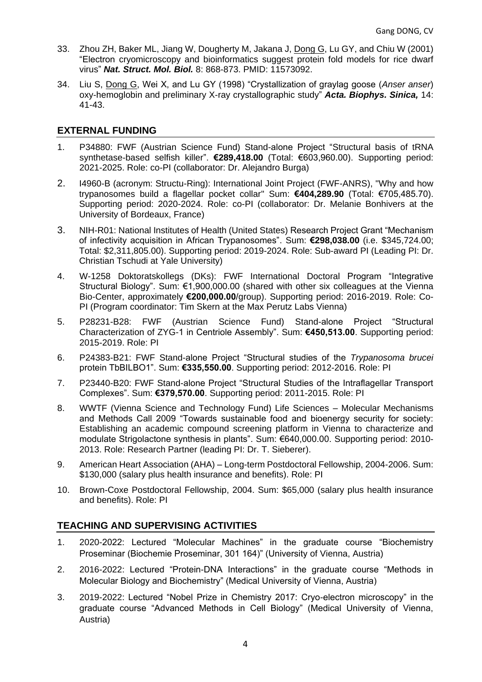- 33. Zhou ZH, Baker ML, Jiang W, Dougherty M, Jakana J, Dong G, Lu GY, and Chiu W (2001) "Electron cryomicroscopy and bioinformatics suggest protein fold models for rice dwarf virus" *Nat. Struct. Mol. Biol.* 8: 868-873. PMID: 11573092.
- 34. Liu S, Dong G, Wei X, and Lu GY (1998) "Crystallization of graylag goose (*Anser anser*) oxy-hemoglobin and preliminary X-ray crystallographic study" *Acta. Biophys. Sinica,* 14: 41-43.

#### **EXTERNAL FUNDING**

- 1. P34880: FWF (Austrian Science Fund) Stand-alone Project "Structural basis of tRNA synthetase-based selfish killer". **€289,418.00** (Total: €603,960.00). Supporting period: 2021-2025. Role: co-PI (collaborator: Dr. Alejandro Burga)
- 2. I4960-B (acronym: Structu-Ring): International Joint Project (FWF-ANRS), "Why and how trypanosomes build a flagellar pocket collar" Sum: **€404,289.90** (Total: €705,485.70). Supporting period: 2020-2024. Role: co-PI (collaborator: Dr. Melanie Bonhivers at the University of Bordeaux, France)
- 3. NIH-R01: National Institutes of Health (United States) Research Project Grant "Mechanism of infectivity acquisition in African Trypanosomes". Sum: **€298,038.00** (i.e. \$345,724.00; Total: \$2,311,805.00). Supporting period: 2019-2024. Role: Sub-award PI (Leading PI: Dr. Christian Tschudi at Yale University)
- 4. W-1258 Doktoratskollegs (DKs): FWF International Doctoral Program "Integrative Structural Biology". Sum: €1,900,000.00 (shared with other six colleagues at the Vienna Bio-Center, approximately **€200,000.00**/group). Supporting period: 2016-2019. Role: Co-PI (Program coordinator: Tim Skern at the Max Perutz Labs Vienna)
- 5. P28231-B28: FWF (Austrian Science Fund) Stand-alone Project "Structural Characterization of ZYG-1 in Centriole Assembly". Sum: **€450,513.00**. Supporting period: 2015-2019. Role: PI
- 6. P24383-B21: FWF Stand-alone Project "Structural studies of the *Trypanosoma brucei* protein TbBILBO1". Sum: **€335,550.00**. Supporting period: 2012-2016. Role: PI
- 7. P23440-B20: FWF Stand-alone Project "Structural Studies of the Intraflagellar Transport Complexes". Sum: **€379,570.00**. Supporting period: 2011-2015. Role: PI
- 8. WWTF (Vienna Science and Technology Fund) Life Sciences Molecular Mechanisms and Methods Call 2009 "Towards sustainable food and bioenergy security for society: Establishing an academic compound screening platform in Vienna to characterize and modulate Strigolactone synthesis in plants". Sum: €640,000.00. Supporting period: 2010- 2013. Role: Research Partner (leading PI: Dr. T. Sieberer).
- 9. American Heart Association (AHA) Long-term Postdoctoral Fellowship, 2004-2006. Sum: \$130,000 (salary plus health insurance and benefits). Role: PI
- 10. Brown-Coxe Postdoctoral Fellowship, 2004. Sum: \$65,000 (salary plus health insurance and benefits). Role: PI

## **TEACHING AND SUPERVISING ACTIVITIES**

- 1. 2020-2022: Lectured "Molecular Machines" in the graduate course "Biochemistry Proseminar (Biochemie Proseminar, 301 164)" (University of Vienna, Austria)
- 2. 2016-2022: Lectured "Protein-DNA Interactions" in the graduate course "Methods in Molecular Biology and Biochemistry" (Medical University of Vienna, Austria)
- 3. 2019-2022: Lectured "Nobel Prize in Chemistry 2017: Cryo-electron microscopy" in the graduate course "Advanced Methods in Cell Biology" (Medical University of Vienna, Austria)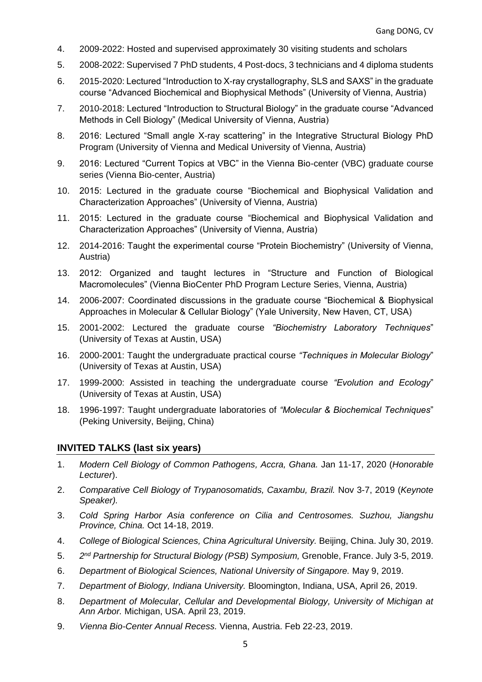- 4. 2009-2022: Hosted and supervised approximately 30 visiting students and scholars
- 5. 2008-2022: Supervised 7 PhD students, 4 Post-docs, 3 technicians and 4 diploma students
- 6. 2015-2020: Lectured "Introduction to X-ray crystallography, SLS and SAXS" in the graduate course "Advanced Biochemical and Biophysical Methods" (University of Vienna, Austria)
- 7. 2010-2018: Lectured "Introduction to Structural Biology" in the graduate course "Advanced Methods in Cell Biology" (Medical University of Vienna, Austria)
- 8. 2016: Lectured "Small angle X-ray scattering" in the Integrative Structural Biology PhD Program (University of Vienna and Medical University of Vienna, Austria)
- 9. 2016: Lectured "Current Topics at VBC" in the Vienna Bio-center (VBC) graduate course series (Vienna Bio-center, Austria)
- 10. 2015: Lectured in the graduate course "Biochemical and Biophysical Validation and Characterization Approaches" (University of Vienna, Austria)
- 11. 2015: Lectured in the graduate course "Biochemical and Biophysical Validation and Characterization Approaches" (University of Vienna, Austria)
- 12. 2014-2016: Taught the experimental course "Protein Biochemistry" (University of Vienna, Austria)
- 13. 2012: Organized and taught lectures in "Structure and Function of Biological Macromolecules" (Vienna BioCenter PhD Program Lecture Series, Vienna, Austria)
- 14. 2006-2007: Coordinated discussions in the graduate course "Biochemical & Biophysical Approaches in Molecular & Cellular Biology" (Yale University, New Haven, CT, USA)
- 15. 2001-2002: Lectured the graduate course *"Biochemistry Laboratory Techniques*" (University of Texas at Austin, USA)
- 16. 2000-2001: Taught the undergraduate practical course *"Techniques in Molecular Biology*" (University of Texas at Austin, USA)
- 17. 1999-2000: Assisted in teaching the undergraduate course *"Evolution and Ecology*" (University of Texas at Austin, USA)
- 18. 1996-1997: Taught undergraduate laboratories of *"Molecular & Biochemical Techniques*" (Peking University, Beijing, China)

#### **INVITED TALKS (last six years)**

- 1. *Modern Cell Biology of Common Pathogens, Accra, Ghana.* Jan 11-17, 2020 (*Honorable Lecturer*).
- 2. *Comparative Cell Biology of Trypanosomatids, Caxambu, Brazil.* Nov 3-7, 2019 (*Keynote Speaker).*
- 3. *Cold Spring Harbor Asia conference on Cilia and Centrosomes. Suzhou, Jiangshu Province, China.* Oct 14-18, 2019.
- 4. *College of Biological Sciences, China Agricultural University.* Beijing, China. July 30, 2019.
- 5. *2 nd Partnership for Structural Biology (PSB) Symposium,* Grenoble, France. July 3-5, 2019.
- 6. *Department of Biological Sciences, National University of Singapore.* May 9, 2019.
- 7. *Department of Biology, Indiana University.* Bloomington, Indiana, USA, April 26, 2019.
- 8. *Department of Molecular, Cellular and Developmental Biology, University of Michigan at Ann Arbor.* Michigan, USA. April 23, 2019.
- 9. *Vienna Bio-Center Annual Recess.* Vienna, Austria. Feb 22-23, 2019.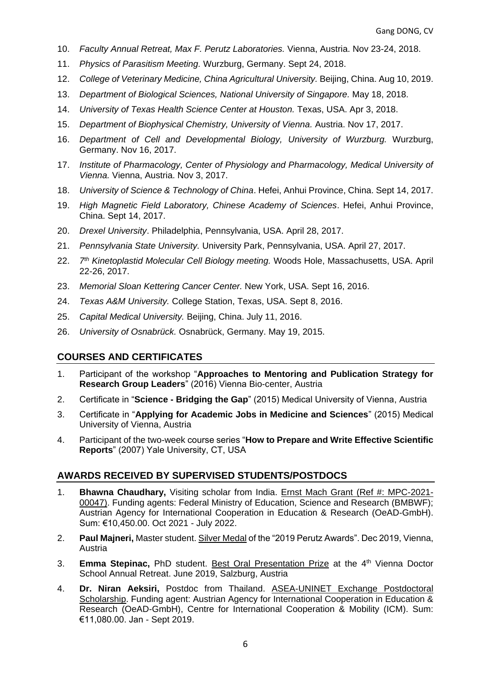- 10. *Faculty Annual Retreat, Max F. Perutz Laboratories.* Vienna, Austria. Nov 23-24, 2018.
- 11. *Physics of Parasitism Meeting.* Wurzburg, Germany. Sept 24, 2018.
- 12. *College of Veterinary Medicine, China Agricultural University.* Beijing, China. Aug 10, 2019.
- 13. *Department of Biological Sciences, National University of Singapore.* May 18, 2018.
- 14. *University of Texas Health Science Center at Houston.* Texas, USA. Apr 3, 2018.
- 15. *Department of Biophysical Chemistry, University of Vienna.* Austria. Nov 17, 2017.
- 16. *Department of Cell and Developmental Biology, University of Wurzburg.* Wurzburg, Germany. Nov 16, 2017.
- 17. *Institute of Pharmacology, Center of Physiology and Pharmacology, Medical University of Vienna.* Vienna, Austria. Nov 3, 2017.
- 18. *University of Science & Technology of China*. Hefei, Anhui Province, China. Sept 14, 2017.
- 19. *High Magnetic Field Laboratory, Chinese Academy of Sciences*. Hefei, Anhui Province, China. Sept 14, 2017.
- 20. *Drexel University*. Philadelphia, Pennsylvania, USA. April 28, 2017.
- 21. *Pennsylvania State University.* University Park, Pennsylvania, USA. April 27, 2017.
- 22. *7 th Kinetoplastid Molecular Cell Biology meeting.* Woods Hole, Massachusetts, USA. April 22-26, 2017.
- 23. *Memorial Sloan Kettering Cancer Center.* New York, USA. Sept 16, 2016.
- 24. *Texas A&M University.* College Station, Texas, USA. Sept 8, 2016.
- 25. *Capital Medical University.* Beijing, China. July 11, 2016.
- 26. *University of Osnabrück.* Osnabrück, Germany. May 19, 2015.

## **COURSES AND CERTIFICATES**

- 1. Participant of the workshop "**Approaches to Mentoring and Publication Strategy for Research Group Leaders**" (2016) Vienna Bio-center, Austria
- 2. Certificate in "**Science - Bridging the Gap**" (2015) Medical University of Vienna, Austria
- 3. Certificate in "**Applying for Academic Jobs in Medicine and Sciences**" (2015) Medical University of Vienna, Austria
- 4. Participant of the two-week course series "**How to Prepare and Write Effective Scientific Reports**" (2007) Yale University, CT, USA

#### **AWARDS RECEIVED BY SUPERVISED STUDENTS/POSTDOCS**

- 1. **Bhawna Chaudhary,** Visiting scholar from India. Ernst Mach Grant (Ref #: MPC-2021- 00047). Funding agents: Federal Ministry of Education, Science and Research (BMBWF); Austrian Agency for International Cooperation in Education & Research (OeAD-GmbH). Sum: €10,450.00. Oct 2021 - July 2022.
- 2. **Paul Majneri,** Master student. Silver Medal of the "2019 Perutz Awards". Dec 2019, Vienna, Austria
- 3. **Emma Stepinac,** PhD student. Best Oral Presentation Prize at the 4th Vienna Doctor School Annual Retreat. June 2019, Salzburg, Austria
- 4. **Dr. Niran Aeksiri,** Postdoc from Thailand. ASEA-UNINET Exchange Postdoctoral Scholarship. Funding agent: Austrian Agency for International Cooperation in Education & Research (OeAD-GmbH), Centre for International Cooperation & Mobility (ICM). Sum: €11,080.00. Jan - Sept 2019.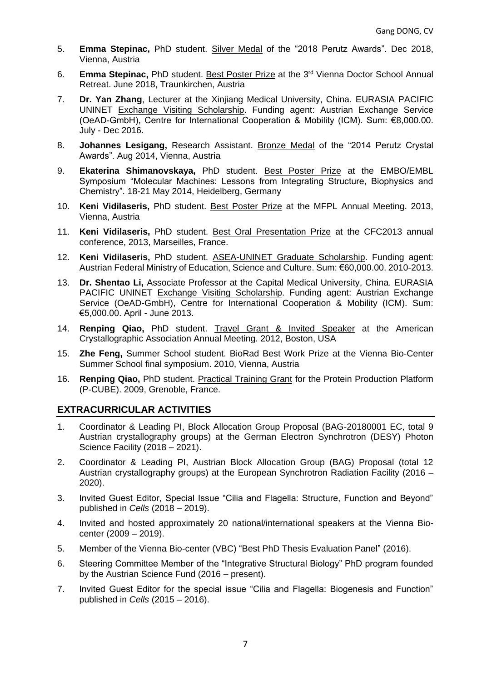- 5. **Emma Stepinac,** PhD student. Silver Medal of the "2018 Perutz Awards". Dec 2018, Vienna, Austria
- 6. **Emma Stepinac, PhD student. Best Poster Prize** at the 3<sup>rd</sup> Vienna Doctor School Annual Retreat. June 2018, Traunkirchen, Austria
- 7. **Dr. Yan Zhang**, Lecturer at the Xinjiang Medical University, China. EURASIA PACIFIC UNINET Exchange Visiting Scholarship. Funding agent: Austrian Exchange Service (OeAD-GmbH), Centre for International Cooperation & Mobility (ICM). Sum: €8,000.00. July - Dec 2016.
- 8. **Johannes Lesigang,** Research Assistant. Bronze Medal of the "2014 Perutz Crystal Awards". Aug 2014, Vienna, Austria
- 9. **Ekaterina Shimanovskaya,** PhD student. Best Poster Prize at the EMBO/EMBL Symposium "Molecular Machines: Lessons from Integrating Structure, Biophysics and Chemistry". 18-21 May 2014, Heidelberg, Germany
- 10. **Keni Vidilaseris,** PhD student. Best Poster Prize at the MFPL Annual Meeting. 2013, Vienna, Austria
- 11. **Keni Vidilaseris,** PhD student. Best Oral Presentation Prize at the CFC2013 annual conference, 2013, Marseilles, France.
- 12. **Keni Vidilaseris,** PhD student. ASEA-UNINET Graduate Scholarship. Funding agent: Austrian Federal Ministry of Education, Science and Culture. Sum: €60,000.00. 2010-2013.
- 13. **Dr. Shentao Li,** Associate Professor at the Capital Medical University, China. EURASIA PACIFIC UNINET Exchange Visiting Scholarship. Funding agent: Austrian Exchange Service (OeAD-GmbH), Centre for International Cooperation & Mobility (ICM). Sum: €5,000.00. April - June 2013.
- 14. **Renping Qiao,** PhD student. Travel Grant & Invited Speaker at the American Crystallographic Association Annual Meeting. 2012, Boston, USA
- 15. **Zhe Feng,** Summer School student. BioRad Best Work Prize at the Vienna Bio-Center Summer School final symposium. 2010, Vienna, Austria
- 16. **Renping Qiao,** PhD student. Practical Training Grant for the Protein Production Platform (P-CUBE). 2009, Grenoble, France.

## **EXTRACURRICULAR ACTIVITIES**

- 1. Coordinator & Leading PI, Block Allocation Group Proposal (BAG-20180001 EC, total 9 Austrian crystallography groups) at the German Electron Synchrotron (DESY) Photon Science Facility (2018 – 2021).
- 2. Coordinator & Leading PI, Austrian Block Allocation Group (BAG) Proposal (total 12 Austrian crystallography groups) at the European Synchrotron Radiation Facility (2016 – 2020).
- 3. Invited Guest Editor, Special Issue "Cilia and Flagella: Structure, Function and Beyond" published in *Cells* (2018 – 2019).
- 4. Invited and hosted approximately 20 national/international speakers at the Vienna Biocenter (2009 – 2019).
- 5. Member of the Vienna Bio-center (VBC) "Best PhD Thesis Evaluation Panel" (2016).
- 6. Steering Committee Member of the "Integrative Structural Biology" PhD program founded by the Austrian Science Fund (2016 – present).
- 7. Invited Guest Editor for the special issue "Cilia and Flagella: Biogenesis and Function" published in *Cells* (2015 – 2016).